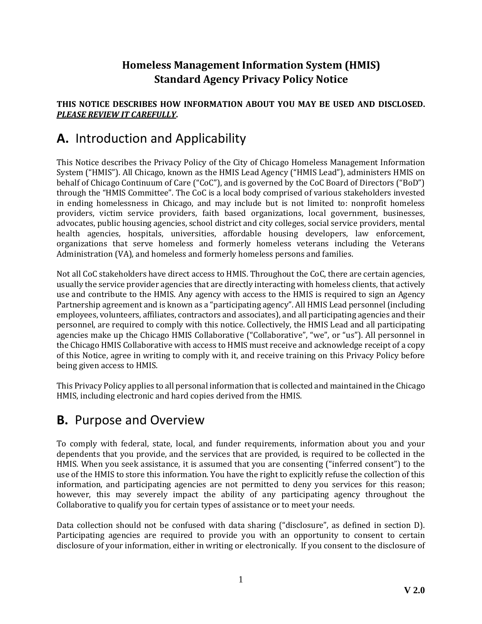### **Homeless Management Information System (HMIS) Standard Agency Privacy Policy Notice**

### **THIS NOTICE DESCRIBES HOW INFORMATION ABOUT YOU MAY BE USED AND DISCLOSED.**  *PLEASE REVIEW IT CAREFULLY***.**

### **A.** Introduction and Applicability

This Notice describes the Privacy Policy of the City of Chicago Homeless Management Information System ("HMIS"). All Chicago, known as the HMIS Lead Agency ("HMIS Lead"), administers HMIS on behalf of Chicago Continuum of Care ("CoC"), and is governed by the CoC Board of Directors ("BoD") through the "HMIS Committee". The CoC is a local body comprised of various stakeholders invested in ending homelessness in Chicago, and may include but is not limited to: nonprofit homeless providers, victim service providers, faith based organizations, local government, businesses, advocates, public housing agencies, school district and city colleges, social service providers, mental health agencies, hospitals, universities, affordable housing developers, law enforcement, organizations that serve homeless and formerly homeless veterans including the Veterans Administration (VA), and homeless and formerly homeless persons and families.

Not all CoC stakeholders have direct access to HMIS. Throughout the CoC, there are certain agencies, usually the service provider agencies that are directly interacting with homeless clients, that actively use and contribute to the HMIS. Any agency with access to the HMIS is required to sign an Agency Partnership agreement and is known as a "participating agency". All HMIS Lead personnel (including employees, volunteers, affiliates, contractors and associates), and all participating agencies and their personnel, are required to comply with this notice. Collectively, the HMIS Lead and all participating agencies make up the Chicago HMIS Collaborative ("Collaborative", "we", or "us"). All personnel in the Chicago HMIS Collaborative with access to HMIS must receive and acknowledge receipt of a copy of this Notice, agree in writing to comply with it, and receive training on this Privacy Policy before being given access to HMIS.

This Privacy Policy applies to all personal information that is collected and maintained in the Chicago HMIS, including electronic and hard copies derived from the HMIS.

### **B.** Purpose and Overview

To comply with federal, state, local, and funder requirements, information about you and your dependents that you provide, and the services that are provided, is required to be collected in the HMIS. When you seek assistance, it is assumed that you are consenting ("inferred consent") to the use of the HMIS to store this information. You have the right to explicitly refuse the collection of this information, and participating agencies are not permitted to deny you services for this reason; however, this may severely impact the ability of any participating agency throughout the Collaborative to qualify you for certain types of assistance or to meet your needs.

Data collection should not be confused with data sharing ("disclosure", as defined in section D). Participating agencies are required to provide you with an opportunity to consent to certain disclosure of your information, either in writing or electronically. If you consent to the disclosure of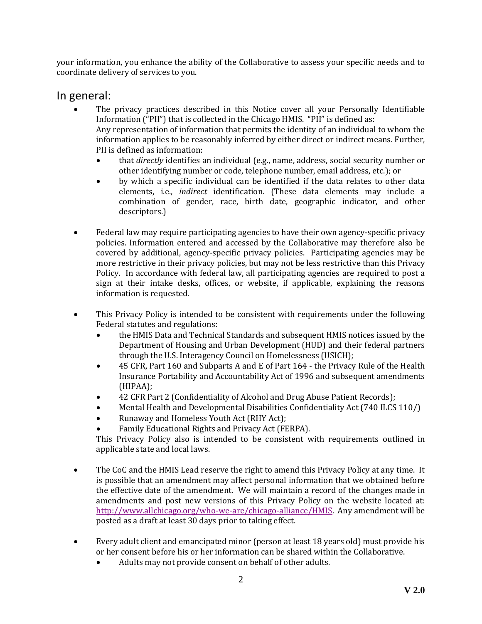your information, you enhance the ability of the Collaborative to assess your specific needs and to coordinate delivery of services to you.

### In general:

- The privacy practices described in this Notice cover all your Personally Identifiable Information ("PII") that is collected in the Chicago HMIS. "PII" is defined as: Any representation of information that permits the identity of an individual to whom the information applies to be reasonably inferred by either direct or indirect means. Further, PII is defined as information:
	- that *directly* identifies an individual (e.g., name, address, social security number or other identifying number or code, telephone number, email address, etc.); or
	- by which a specific individual can be identified if the data relates to other data elements, i.e., *indirect* identification. (These data elements may include a combination of gender, race, birth date, geographic indicator, and other descriptors.)
- Federal law may require participating agencies to have their own agency‐specific privacy policies. Information entered and accessed by the Collaborative may therefore also be covered by additional, agency‐specific privacy policies. Participating agencies may be more restrictive in their privacy policies, but may not be less restrictive than this Privacy Policy. In accordance with federal law, all participating agencies are required to post a sign at their intake desks, offices, or website, if applicable, explaining the reasons information is requested.
- This Privacy Policy is intended to be consistent with requirements under the following Federal statutes and regulations:
	- the HMIS Data and Technical Standards and subsequent HMIS notices issued by the Department of Housing and Urban Development (HUD) and their federal partners through the U.S. Interagency Council on Homelessness (USICH);
	- 45 CFR, Part 160 and Subparts A and E of Part 164 the Privacy Rule of the Health Insurance Portability and Accountability Act of 1996 and subsequent amendments (HIPAA);
	- 42 CFR Part 2 (Confidentiality of Alcohol and Drug Abuse Patient Records);
	- Mental Health and Developmental Disabilities Confidentiality Act (740 ILCS 110/)
	- Runaway and Homeless Youth Act (RHY Act);
	- Family Educational Rights and Privacy Act (FERPA).

This Privacy Policy also is intended to be consistent with requirements outlined in applicable state and local laws.

- The CoC and the HMIS Lead reserve the right to amend this Privacy Policy at any time. It is possible that an amendment may affect personal information that we obtained before the effective date of the amendment. We will maintain a record of the changes made in amendments and post new versions of this Privacy Policy on the website located at: [http://www.allchicago.org/who-we-are/chicago-alliance/HMIS.](http://www.allchicago.org/who-we-are/chicago-alliance/HMIS) Any amendment will be posted as a draft at least 30 days prior to taking effect.
- Every adult client and emancipated minor (person at least 18 years old) must provide his or her consent before his or her information can be shared within the Collaborative.
	- Adults may not provide consent on behalf of other adults.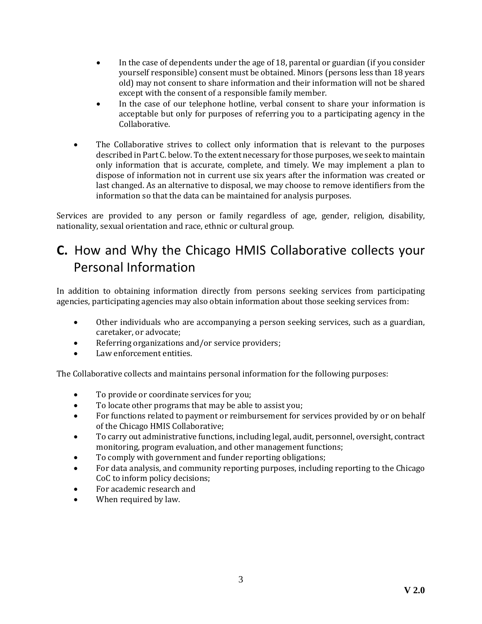- In the case of dependents under the age of 18, parental or guardian (if you consider yourself responsible) consent must be obtained. Minors (persons less than 18 years old) may not consent to share information and their information will not be shared except with the consent of a responsible family member.
- In the case of our telephone hotline, verbal consent to share your information is acceptable but only for purposes of referring you to a participating agency in the Collaborative.
- The Collaborative strives to collect only information that is relevant to the purposes described in Part C. below. To the extent necessary for those purposes, we seek to maintain only information that is accurate, complete, and timely. We may implement a plan to dispose of information not in current use six years after the information was created or last changed. As an alternative to disposal, we may choose to remove identifiers from the information so that the data can be maintained for analysis purposes.

Services are provided to any person or family regardless of age, gender, religion, disability, nationality, sexual orientation and race, ethnic or cultural group.

## **C.** How and Why the Chicago HMIS Collaborative collects your Personal Information

In addition to obtaining information directly from persons seeking services from participating agencies, participating agencies may also obtain information about those seeking services from:

- Other individuals who are accompanying a person seeking services, such as a guardian, caretaker, or advocate;
- Referring organizations and/or service providers;
- Law enforcement entities.

The Collaborative collects and maintains personal information for the following purposes:

- To provide or coordinate services for you;
- To locate other programs that may be able to assist you;
- For functions related to payment or reimbursement for services provided by or on behalf of the Chicago HMIS Collaborative;
- To carry out administrative functions, including legal, audit, personnel, oversight, contract monitoring, program evaluation, and other management functions;
- To comply with government and funder reporting obligations;
- For data analysis, and community reporting purposes, including reporting to the Chicago CoC to inform policy decisions;
- For academic research and
- When required by law.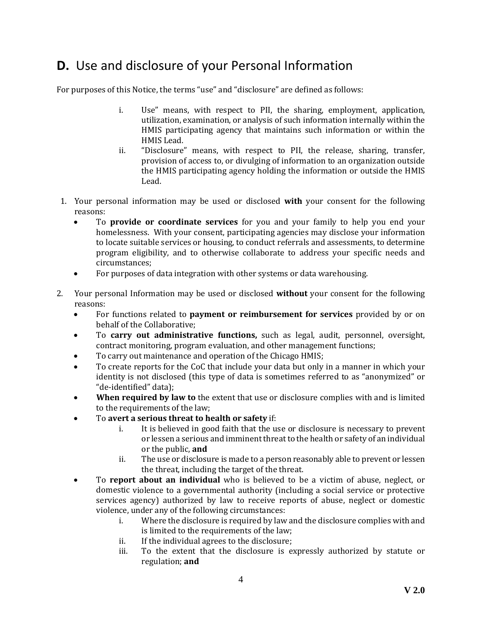## **D.** Use and disclosure of your Personal Information

For purposes of this Notice, the terms "use" and "disclosure" are defined as follows:

- i. Use" means, with respect to PII, the sharing, employment, application, utilization, examination, or analysis of such information internally within the HMIS participating agency that maintains such information or within the HMIS Lead.
- ii. "Disclosure" means, with respect to PII, the release, sharing, transfer, provision of access to, or divulging of information to an organization outside the HMIS participating agency holding the information or outside the HMIS Lead.
- 1. Your personal information may be used or disclosed **with** your consent for the following reasons:
	- To **provide or coordinate services** for you and your family to help you end your homelessness. With your consent, participating agencies may disclose your information to locate suitable services or housing, to conduct referrals and assessments, to determine program eligibility, and to otherwise collaborate to address your specific needs and circumstances;
	- For purposes of data integration with other systems or data warehousing.
- 2. Your personal Information may be used or disclosed **without** your consent for the following reasons:
	- For functions related to **payment or reimbursement for services** provided by or on behalf of the Collaborative;
	- To **carry out administrative functions,** such as legal, audit, personnel, oversight, contract monitoring, program evaluation, and other management functions;
	- To carry out maintenance and operation of the Chicago HMIS;
	- To create reports for the CoC that include your data but only in a manner in which your identity is not disclosed (this type of data is sometimes referred to as "anonymized" or "de-identified" data);
	- **When required by law to** the extent that use or disclosure complies with and is limited to the requirements of the law;
	- To **avert a serious threat to health or safety** if:
		- It is believed in good faith that the use or disclosure is necessary to prevent or lessen a serious and imminent threat to the health or safety of an individual or the public, **and**
		- ii. The use or disclosure is made to a person reasonably able to prevent or lessen the threat, including the target of the threat.
	- To **report about an individual** who is believed to be a victim of abuse, neglect, or domestic violence to a governmental authority (including a social service or protective services agency) authorized by law to receive reports of abuse, neglect or domestic violence, under any of the following circumstances:<br>i. Where the disclosure is required by law
		- Where the disclosure is required by law and the disclosure complies with and is limited to the requirements of the law;
		- ii. If the individual agrees to the disclosure;<br>iii. To the extent that the disclosure is ex
		- To the extent that the disclosure is expressly authorized by statute or regulation; **and**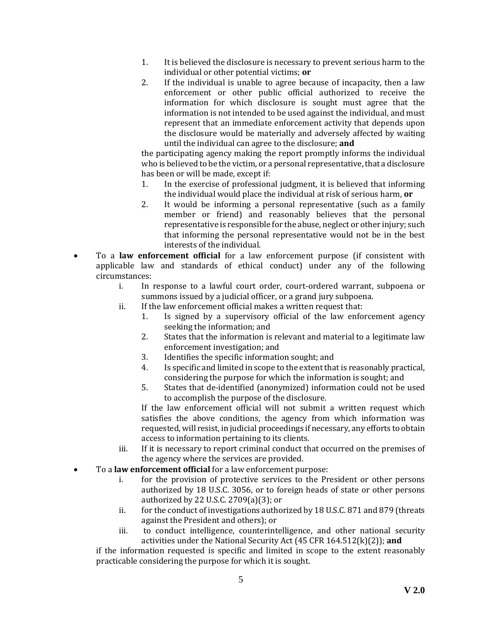- 1. It is believed the disclosure is necessary to prevent serious harm to the individual or other potential victims; **or**
- 2. If the individual is unable to agree because of incapacity, then a law enforcement or other public official authorized to receive the information for which disclosure is sought must agree that the information is not intended to be used against the individual, and must represent that an immediate enforcement activity that depends upon the disclosure would be materially and adversely affected by waiting until the individual can agree to the disclosure; **and**

the participating agency making the report promptly informs the individual who is believed to be the victim, or a personal representative, that a disclosure has been or will be made, except if:<br>1. In the exercise of professions

- 1. In the exercise of professional judgment, it is believed that informing the individual would place the individual at risk of serious harm, **or**
- 2. It would be informing a personal representative (such as a family member or friend) and reasonably believes that the personal representative is responsible for the abuse, neglect or other injury; such that informing the personal representative would not be in the best interests of the individual.
- To a **law enforcement official** for a law enforcement purpose (if consistent with applicable law and standards of ethical conduct) under any of the following circumstances:
	- In response to a lawful court order, court-ordered warrant, subpoena or summons issued by a judicial officer, or a grand jury subpoena.
	- ii. If the law enforcement official makes a written request that:<br>1. Is signed by a supervisory official of the law enfor-
		- Is signed by a supervisory official of the law enforcement agency seeking the information; and
		- 2. States that the information is relevant and material to a legitimate law enforcement investigation; and
		- 3. Identifies the specific information sought; and<br>4. Is specific and limited in scope to the extent that
		- Is specific and limited in scope to the extent that is reasonably practical, considering the purpose for which the information is sought; and
		- 5. States that de‐identified (anonymized) information could not be used to accomplish the purpose of the disclosure.

If the law enforcement official will not submit a written request which satisfies the above conditions, the agency from which information was requested, will resist, in judicial proceedings if necessary, any efforts to obtain access to information pertaining to its clients.

- iii. If it is necessary to report criminal conduct that occurred on the premises of the agency where the services are provided.
- To a **law enforcement official** for a law enforcement purpose:<br>
i for the provision of protective services to the Pr
	- for the provision of protective services to the President or other persons authorized by 18 U.S.C. 3056, or to foreign heads of state or other persons authorized by 22 U.S.C. 2709(a)(3); or
	- ii. for the conduct of investigations authorized by 18 U.S.C. 871 and 879 (threats against the President and others); or
	- iii. to conduct intelligence, counterintelligence, and other national security activities under the National Security Act (45 CFR 164.512(k)(2)); **and**

if the information requested is specific and limited in scope to the extent reasonably practicable considering the purpose for which it is sought.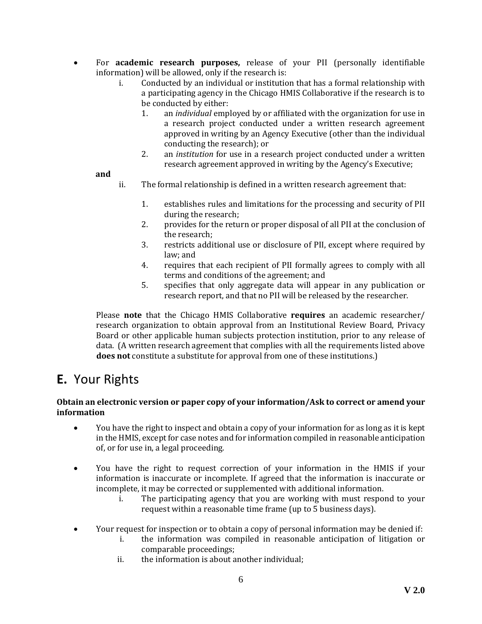- For **academic research purposes,** release of your PII (personally identifiable information) will be allowed, only if the research is:
	- Conducted by an individual or institution that has a formal relationship with a participating agency in the Chicago HMIS Collaborative if the research is to be conducted by either:<br>1. an *individual* emp
		- 1. an *individual* employed by or affiliated with the organization for use in a research project conducted under a written research agreement approved in writing by an Agency Executive (other than the individual conducting the research); or
		- 2. an *institution* for use in a research project conducted under a written research agreement approved in writing by the Agency's Executive;

**and**

- ii. The formal relationship is defined in a written research agreement that:
	- 1. establishes rules and limitations for the processing and security of PII during the research;
	- 2. provides for the return or proper disposal of all PII at the conclusion of the research;
	- 3. restricts additional use or disclosure of PII, except where required by law; and
	- 4. requires that each recipient of PII formally agrees to comply with all terms and conditions of the agreement; and
	- 5. specifies that only aggregate data will appear in any publication or research report, and that no PII will be released by the researcher.

Please **note** that the Chicago HMIS Collaborative **requires** an academic researcher/ research organization to obtain approval from an Institutional Review Board, Privacy Board or other applicable human subjects protection institution, prior to any release of data. (A written research agreement that complies with all the requirements listed above **does not** constitute a substitute for approval from one of these institutions.)

# **E.** Your Rights

#### **Obtain an electronic version or paper copy of your information/Ask to correct or amend your information**

- You have the right to inspect and obtain a copy of your information for as long as it is kept in the HMIS, except for case notes and for information compiled in reasonable anticipation of, or for use in, a legal proceeding.
- You have the right to request correction of your information in the HMIS if your information is inaccurate or incomplete. If agreed that the information is inaccurate or incomplete, it may be corrected or supplemented with additional information.
	- The participating agency that you are working with must respond to your request within a reasonable time frame (up to 5 business days).
- Your request for inspection or to obtain a copy of personal information may be denied if:
	- i. the information was compiled in reasonable anticipation of litigation or comparable proceedings;
	- ii. the information is about another individual;